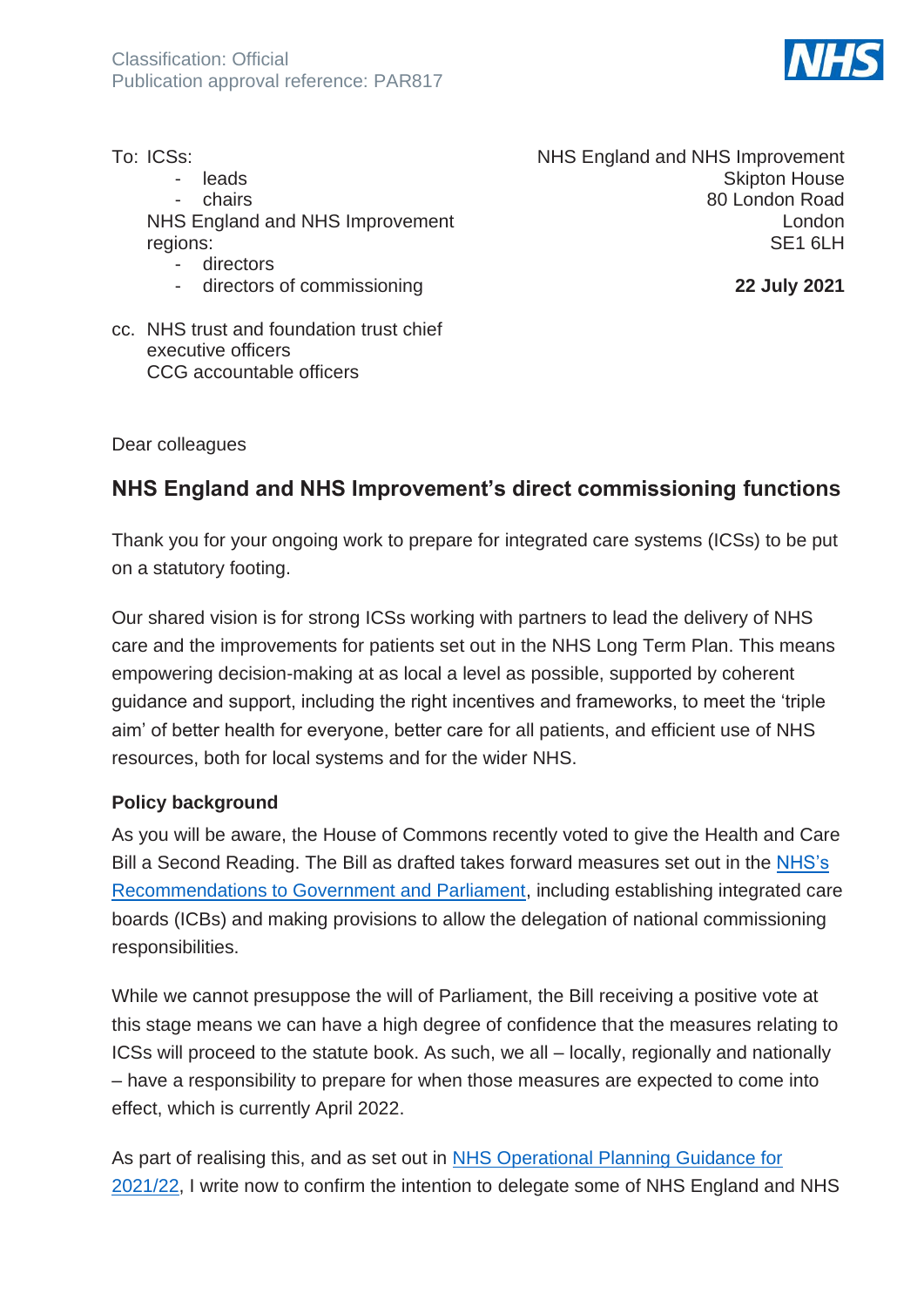

| To: ICSs:                                |
|------------------------------------------|
| leads                                    |
| chairs                                   |
| NHS England and NHS Improvement          |
| regions:                                 |
| directors                                |
| directors of commissioning               |
| cc. NHS trust and foundation trust chief |

NHS England and NHS Improvement Skipton House 80 London Road London SE1 6LH

**22 July 2021**

Dear colleagues

executive officers

CCG accountable officers

# **NHS England and NHS Improvement's direct commissioning functions**

Thank you for your ongoing work to prepare for integrated care systems (ICSs) to be put on a statutory footing.

Our shared vision is for strong ICSs working with partners to lead the delivery of NHS care and the improvements for patients set out in the NHS Long Term Plan. This means empowering decision-making at as local a level as possible, supported by coherent guidance and support, including the right incentives and frameworks, to meet the 'triple aim' of better health for everyone, better care for all patients, and efficient use of NHS resources, both for local systems and for the wider NHS.

#### **Policy background**

As you will be aware, the House of Commons recently voted to give the Health and Care Bill a Second Reading. The Bill as drafted takes forward measures set out in the [NHS's](https://www.england.nhs.uk/wp-content/uploads/2019/09/BM1917-NHS-recommendations-Government-Parliament-for-an-NHS-Bill.pdf)  [Recommendations to Government and Parliament,](https://www.england.nhs.uk/wp-content/uploads/2019/09/BM1917-NHS-recommendations-Government-Parliament-for-an-NHS-Bill.pdf) including establishing integrated care boards (ICBs) and making provisions to allow the delegation of national commissioning responsibilities.

While we cannot presuppose the will of Parliament, the Bill receiving a positive vote at this stage means we can have a high degree of confidence that the measures relating to ICSs will proceed to the statute book. As such, we all – locally, regionally and nationally – have a responsibility to prepare for when those measures are expected to come into effect, which is currently April 2022.

As part of realising this, and as set out in NHS Operational Planning Guidance for [2021/22,](https://www.england.nhs.uk/publication/2021-22-priorities-and-operational-planning-guidance/) I write now to confirm the intention to delegate some of NHS England and NHS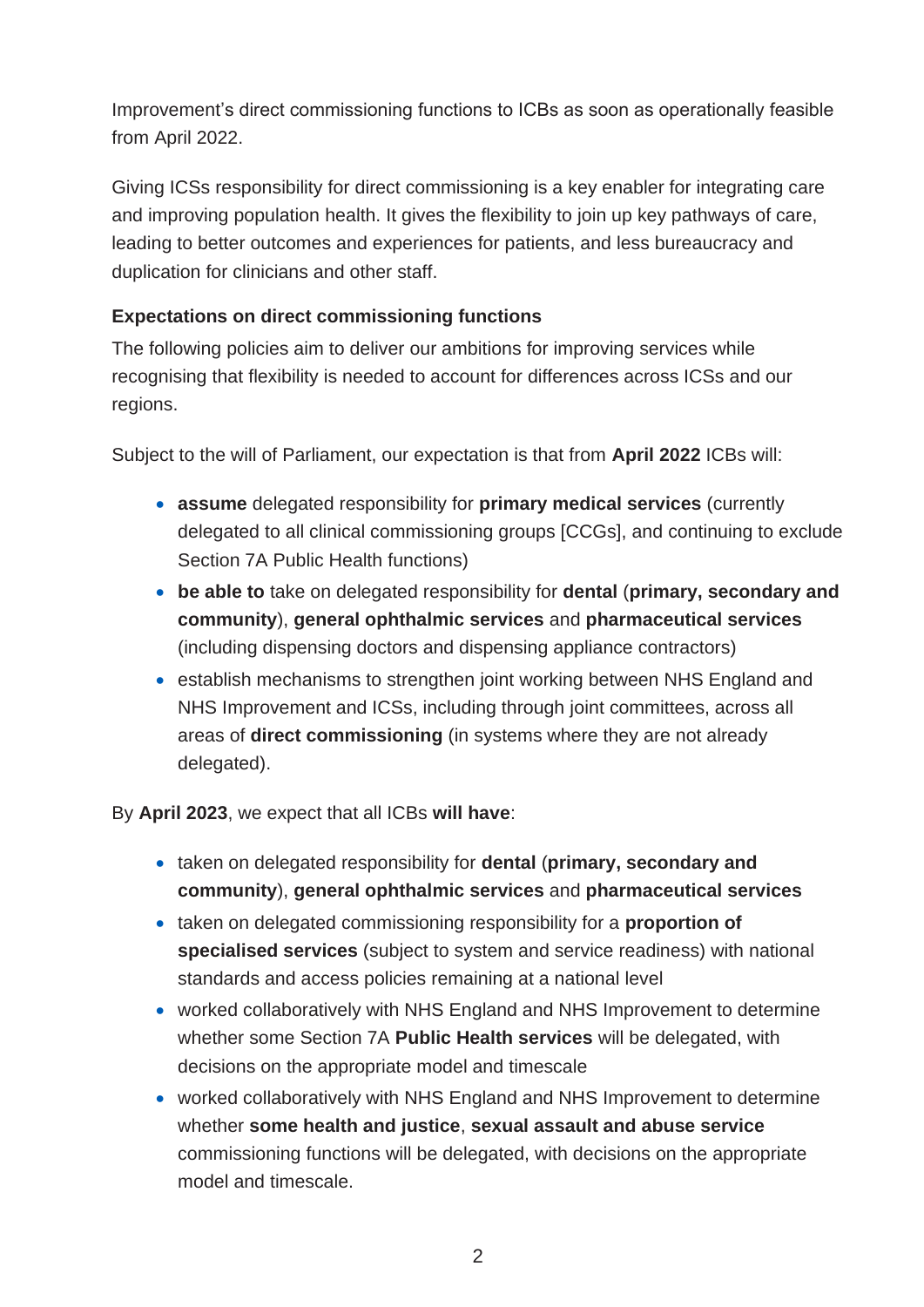Improvement's direct commissioning functions to ICBs as soon as operationally feasible from April 2022.

Giving ICSs responsibility for direct commissioning is a key enabler for integrating care and improving population health. It gives the flexibility to join up key pathways of care, leading to better outcomes and experiences for patients, and less bureaucracy and duplication for clinicians and other staff.

# **Expectations on direct commissioning functions**

The following policies aim to deliver our ambitions for improving services while recognising that flexibility is needed to account for differences across ICSs and our regions.

Subject to the will of Parliament, our expectation is that from **April 2022** ICBs will:

- **assume** delegated responsibility for **primary medical services** (currently delegated to all clinical commissioning groups [CCGs], and continuing to exclude Section 7A Public Health functions)
- **be able to** take on delegated responsibility for **dental** (**primary, secondary and community**), **general ophthalmic services** and **pharmaceutical services** (including dispensing doctors and dispensing appliance contractors)
- establish mechanisms to strengthen joint working between NHS England and NHS Improvement and ICSs, including through joint committees, across all areas of **direct commissioning** (in systems where they are not already delegated).

By **April 2023**, we expect that all ICBs **will have**:

- taken on delegated responsibility for **dental** (**primary, secondary and community**), **general ophthalmic services** and **pharmaceutical services**
- taken on delegated commissioning responsibility for a **proportion of specialised services** (subject to system and service readiness) with national standards and access policies remaining at a national level
- worked collaboratively with NHS England and NHS Improvement to determine whether some Section 7A **Public Health services** will be delegated, with decisions on the appropriate model and timescale
- worked collaboratively with NHS England and NHS Improvement to determine whether **some health and justice**, **sexual assault and abuse service** commissioning functions will be delegated, with decisions on the appropriate model and timescale.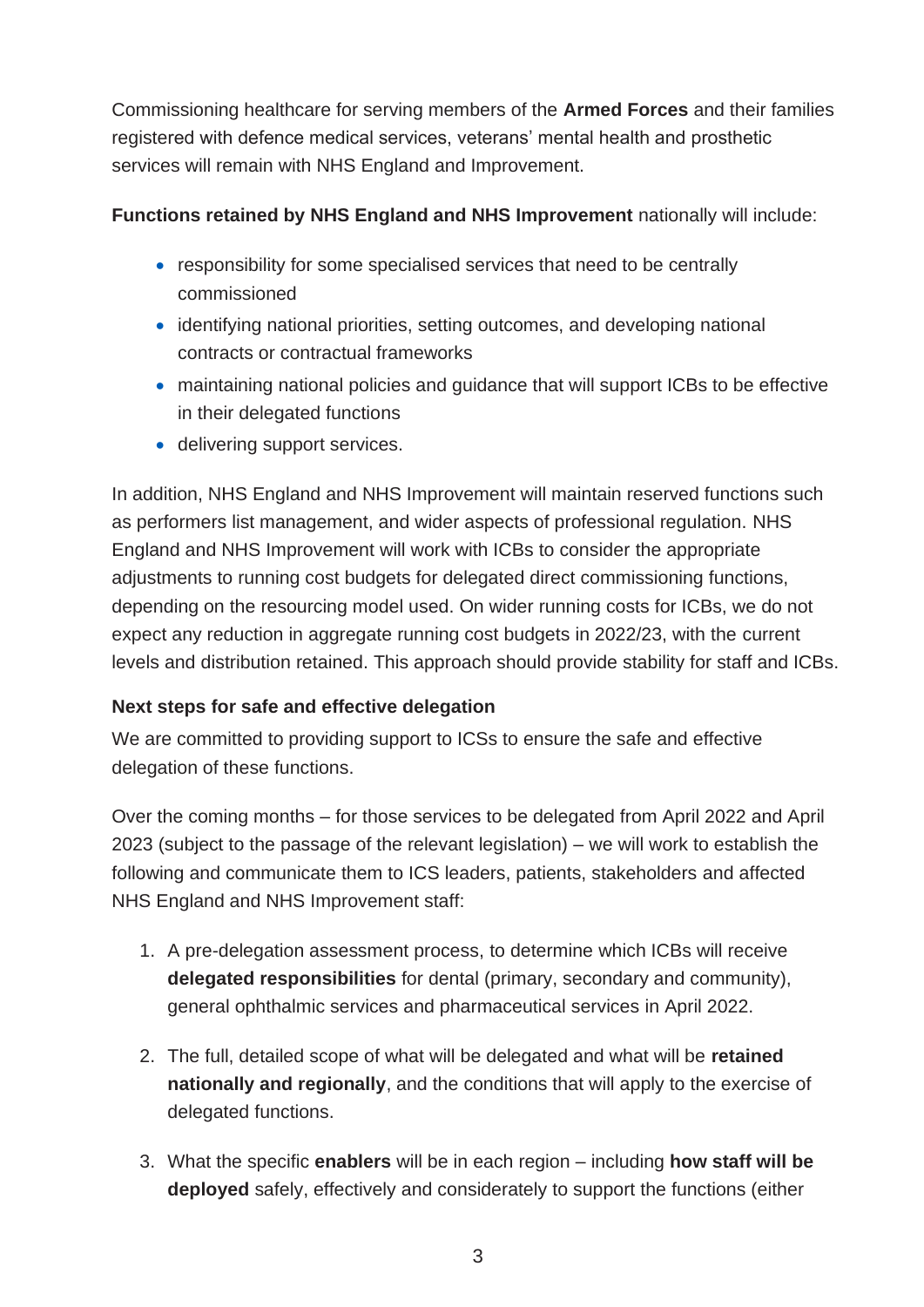Commissioning healthcare for serving members of the **Armed Forces** and their families registered with defence medical services, veterans' mental health and prosthetic services will remain with NHS England and Improvement.

# **Functions retained by NHS England and NHS Improvement** nationally will include:

- responsibility for some specialised services that need to be centrally commissioned
- identifying national priorities, setting outcomes, and developing national contracts or contractual frameworks
- maintaining national policies and guidance that will support ICBs to be effective in their delegated functions
- delivering support services.

In addition, NHS England and NHS Improvement will maintain reserved functions such as performers list management, and wider aspects of professional regulation. NHS England and NHS Improvement will work with ICBs to consider the appropriate adjustments to running cost budgets for delegated direct commissioning functions, depending on the resourcing model used. On wider running costs for ICBs, we do not expect any reduction in aggregate running cost budgets in 2022/23, with the current levels and distribution retained. This approach should provide stability for staff and ICBs.

# **Next steps for safe and effective delegation**

We are committed to providing support to ICSs to ensure the safe and effective delegation of these functions.

Over the coming months – for those services to be delegated from April 2022 and April 2023 (subject to the passage of the relevant legislation) – we will work to establish the following and communicate them to ICS leaders, patients, stakeholders and affected NHS England and NHS Improvement staff:

- 1. A pre-delegation assessment process, to determine which ICBs will receive **delegated responsibilities** for dental (primary, secondary and community), general ophthalmic services and pharmaceutical services in April 2022.
- 2. The full, detailed scope of what will be delegated and what will be **retained nationally and regionally**, and the conditions that will apply to the exercise of delegated functions.
- 3. What the specific **enablers** will be in each region including **how staff will be deployed** safely, effectively and considerately to support the functions (either